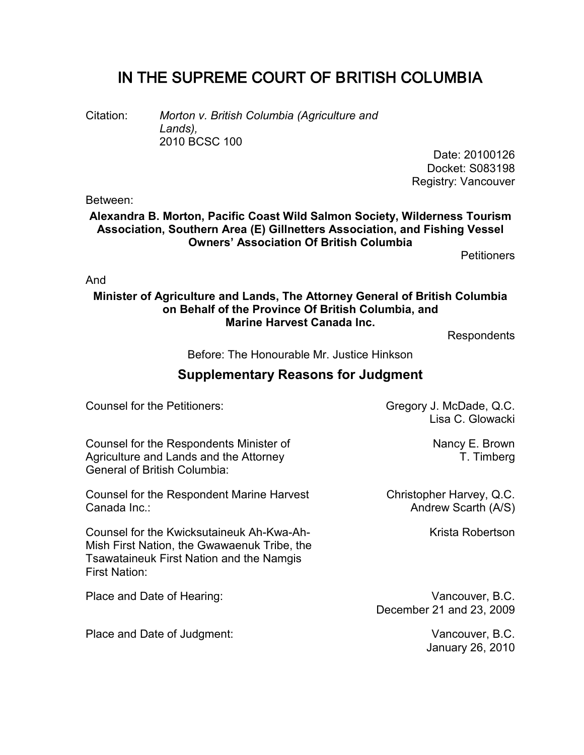# IN THE SUPREME COURT OF BRITISH COLUMBIA

Citation: *Morton v. British Columbia (Agriculture and Lands),* 2010 BCSC 100

> Date: 20100126 Docket: S083198 Registry: Vancouver

Between:

#### **Alexandra B. Morton, Pacific Coast Wild Salmon Society, Wilderness Tourism Association, Southern Area (E) Gillnetters Association, and Fishing Vessel Owners' Association Of British Columbia**

**Petitioners** 

And

#### **Minister of Agriculture and Lands, The Attorney General of British Columbia on Behalf of the Province Of British Columbia, and Marine Harvest Canada Inc.**

Respondents

Before: The Honourable Mr. Justice Hinkson

### **Supplementary Reasons for Judgment**

Counsel for the Petitioners: Gregory J. McDade, Q.C.

Counsel for the Respondents Minister of Agriculture and Lands and the Attorney General of British Columbia:

Counsel for the Respondent Marine Harvest Canada Inc.:

Counsel for the Kwicksutaineuk Ah-Kwa-Ah-Mish First Nation, the Gwawaenuk Tribe, the Tsawataineuk First Nation and the Namgis First Nation:

Place and Date of Hearing: Vancouver, B.C. December 21 and 23, 2009

January 26, 2010

Place and Date of Judgment: Vancouver, B.C.

Lisa C. Glowacki

Nancy E. Brown T. Timberg

Christopher Harvey, Q.C. Andrew Scarth (A/S)

Krista Robertson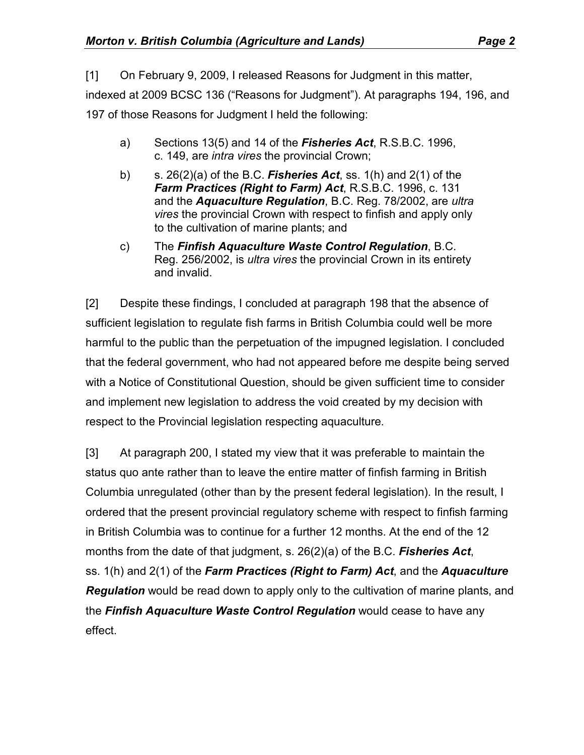[1] On February 9, 2009, I released Reasons for Judgment in this matter, indexed at 2009 BCSC 136 ("Reasons for Judgment"). At paragraphs 194, 196, and 197 of those Reasons for Judgment I held the following:

- a) Sections 13(5) and 14 of the *Fisheries Act*, R.S.B.C. 1996, c. 149, are *intra vires* the provincial Crown;
- b) s. 26(2)(a) of the B.C. *Fisheries Act*, ss. 1(h) and 2(1) of the *Farm Practices (Right to Farm) Act*, R.S.B.C. 1996, c. 131 and the *Aquaculture Regulation*, B.C. Reg. 78/2002, are *ultra vires* the provincial Crown with respect to finfish and apply only to the cultivation of marine plants; and
- c) The *Finfish Aquaculture Waste Control Regulation*, B.C. Reg. 256/2002, is *ultra vires* the provincial Crown in its entirety and invalid.

[2] Despite these findings, I concluded at paragraph 198 that the absence of sufficient legislation to regulate fish farms in British Columbia could well be more harmful to the public than the perpetuation of the impugned legislation. I concluded that the federal government, who had not appeared before me despite being served with a Notice of Constitutional Question, should be given sufficient time to consider and implement new legislation to address the void created by my decision with respect to the Provincial legislation respecting aquaculture.

[3] At paragraph 200, I stated my view that it was preferable to maintain the status quo ante rather than to leave the entire matter of finfish farming in British Columbia unregulated (other than by the present federal legislation). In the result, I ordered that the present provincial regulatory scheme with respect to finfish farming in British Columbia was to continue for a further 12 months. At the end of the 12 months from the date of that judgment, s. 26(2)(a) of the B.C. *Fisheries Act*, ss. 1(h) and 2(1) of the *Farm Practices (Right to Farm) Act*, and the *Aquaculture Regulation* would be read down to apply only to the cultivation of marine plants, and the *Finfish Aquaculture Waste Control Regulation* would cease to have any effect.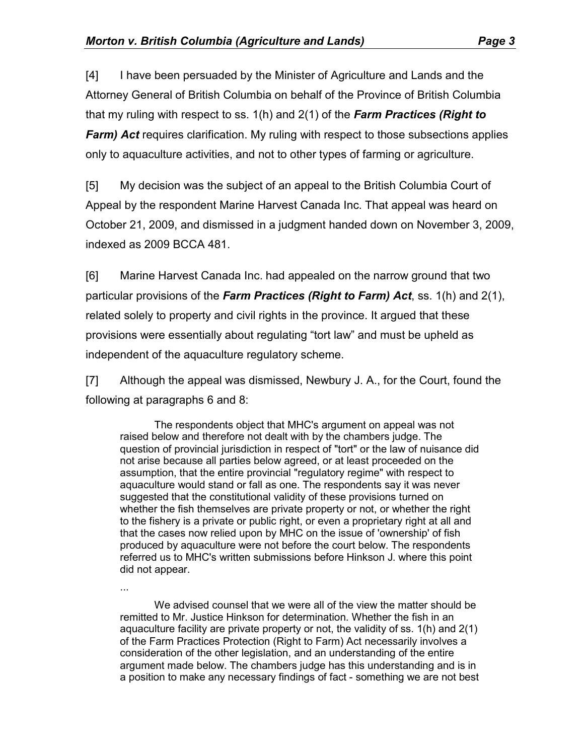[4] I have been persuaded by the Minister of Agriculture and Lands and the Attorney General of British Columbia on behalf of the Province of British Columbia that my ruling with respect to ss. 1(h) and 2(1) of the *Farm Practices (Right to Farm)* Act requires clarification. My ruling with respect to those subsections applies only to aquaculture activities, and not to other types of farming or agriculture.

[5] My decision was the subject of an appeal to the British Columbia Court of Appeal by the respondent Marine Harvest Canada Inc. That appeal was heard on October 21, 2009, and dismissed in a judgment handed down on November 3, 2009, indexed as 2009 BCCA 481.

[6] Marine Harvest Canada Inc. had appealed on the narrow ground that two particular provisions of the *Farm Practices (Right to Farm) Act*, ss. 1(h) and 2(1), related solely to property and civil rights in the province. It argued that these provisions were essentially about regulating "tort law" and must be upheld as independent of the aquaculture regulatory scheme.

[7] Although the appeal was dismissed, Newbury J. A., for the Court, found the following at paragraphs 6 and 8:

The respondents object that MHC's argument on appeal was not raised below and therefore not dealt with by the chambers judge. The question of provincial jurisdiction in respect of "tort" or the law of nuisance did not arise because all parties below agreed, or at least proceeded on the assumption, that the entire provincial "regulatory regime" with respect to aquaculture would stand or fall as one. The respondents say it was never suggested that the constitutional validity of these provisions turned on whether the fish themselves are private property or not, or whether the right to the fishery is a private or public right, or even a proprietary right at all and that the cases now relied upon by MHC on the issue of 'ownership' of fish produced by aquaculture were not before the court below. The respondents referred us to MHC's written submissions before Hinkson J. where this point did not appear.

...

We advised counsel that we were all of the view the matter should be remitted to Mr. Justice Hinkson for determination. Whether the fish in an aquaculture facility are private property or not, the validity of ss. 1(h) and 2(1) of the Farm Practices Protection (Right to Farm) Act necessarily involves a consideration of the other legislation, and an understanding of the entire argument made below. The chambers judge has this understanding and is in a position to make any necessary findings of fact - something we are not best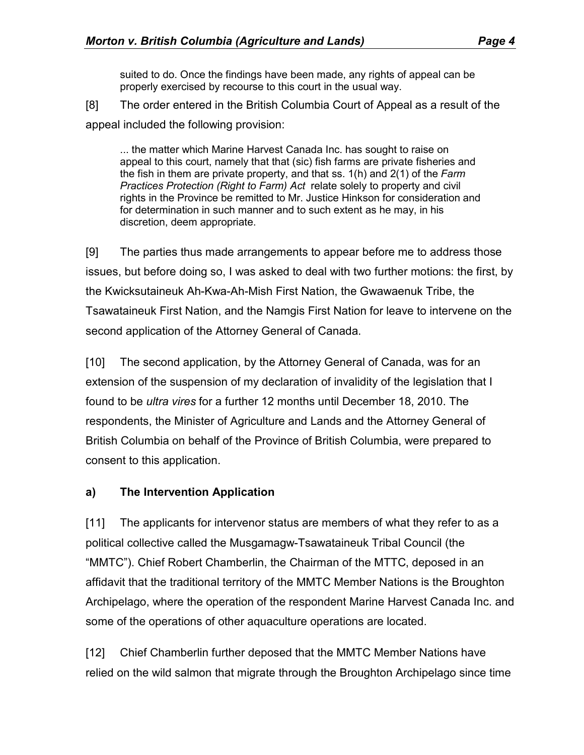suited to do. Once the findings have been made, any rights of appeal can be properly exercised by recourse to this court in the usual way.

[8] The order entered in the British Columbia Court of Appeal as a result of the appeal included the following provision:

... the matter which Marine Harvest Canada Inc. has sought to raise on appeal to this court, namely that that (sic) fish farms are private fisheries and the fish in them are private property, and that ss. 1(h) and 2(1) of the *Farm Practices Protection (Right to Farm) Act relate solely to property and civil* rights in the Province be remitted to Mr. Justice Hinkson for consideration and for determination in such manner and to such extent as he may, in his discretion, deem appropriate.

[9] The parties thus made arrangements to appear before me to address those issues, but before doing so, I was asked to deal with two further motions: the first, by the Kwicksutaineuk Ah-Kwa-Ah-Mish First Nation, the Gwawaenuk Tribe, the Tsawataineuk First Nation, and the Namgis First Nation for leave to intervene on the second application of the Attorney General of Canada.

[10] The second application, by the Attorney General of Canada, was for an extension of the suspension of my declaration of invalidity of the legislation that I found to be *ultra vires* for a further 12 months until December 18, 2010. The respondents, the Minister of Agriculture and Lands and the Attorney General of British Columbia on behalf of the Province of British Columbia, were prepared to consent to this application.

### **a) The Intervention Application**

[11] The applicants for intervenor status are members of what they refer to as a political collective called the Musgamagw-Tsawataineuk Tribal Council (the "MMTC"). Chief Robert Chamberlin, the Chairman of the MTTC, deposed in an affidavit that the traditional territory of the MMTC Member Nations is the Broughton Archipelago, where the operation of the respondent Marine Harvest Canada Inc. and some of the operations of other aquaculture operations are located.

[12] Chief Chamberlin further deposed that the MMTC Member Nations have relied on the wild salmon that migrate through the Broughton Archipelago since time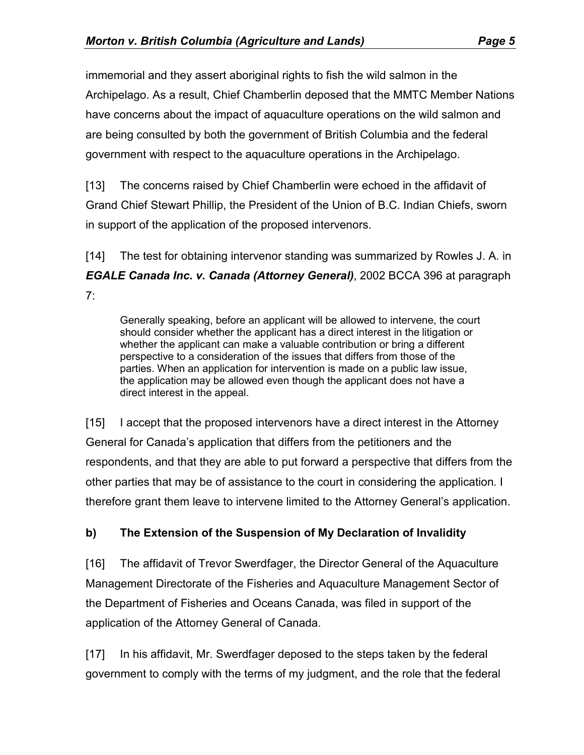immemorial and they assert aboriginal rights to fish the wild salmon in the Archipelago. As a result, Chief Chamberlin deposed that the MMTC Member Nations have concerns about the impact of aquaculture operations on the wild salmon and are being consulted by both the government of British Columbia and the federal government with respect to the aquaculture operations in the Archipelago.

[13] The concerns raised by Chief Chamberlin were echoed in the affidavit of Grand Chief Stewart Phillip, the President of the Union of B.C. Indian Chiefs, sworn in support of the application of the proposed intervenors.

[14] The test for obtaining intervenor standing was summarized by Rowles J. A. in *EGALE Canada Inc. v. Canada (Attorney General)*, 2002 BCCA 396 at paragraph 7:

Generally speaking, before an applicant will be allowed to intervene, the court should consider whether the applicant has a direct interest in the litigation or whether the applicant can make a valuable contribution or bring a different perspective to a consideration of the issues that differs from those of the parties. When an application for intervention is made on a public law issue, the application may be allowed even though the applicant does not have a direct interest in the appeal.

[15] I accept that the proposed intervenors have a direct interest in the Attorney General for Canada's application that differs from the petitioners and the respondents, and that they are able to put forward a perspective that differs from the other parties that may be of assistance to the court in considering the application. I therefore grant them leave to intervene limited to the Attorney General's application.

## **b) The Extension of the Suspension of My Declaration of Invalidity**

[16] The affidavit of Trevor Swerdfager, the Director General of the Aquaculture Management Directorate of the Fisheries and Aquaculture Management Sector of the Department of Fisheries and Oceans Canada, was filed in support of the application of the Attorney General of Canada.

[17] In his affidavit, Mr. Swerdfager deposed to the steps taken by the federal government to comply with the terms of my judgment, and the role that the federal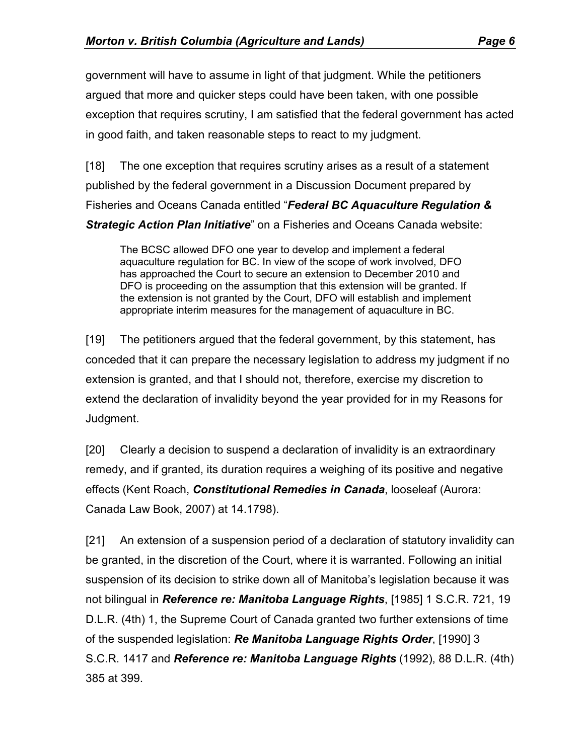government will have to assume in light of that judgment. While the petitioners argued that more and quicker steps could have been taken, with one possible exception that requires scrutiny, I am satisfied that the federal government has acted in good faith, and taken reasonable steps to react to my judgment.

[18] The one exception that requires scrutiny arises as a result of a statement published by the federal government in a Discussion Document prepared by Fisheries and Oceans Canada entitled "*Federal BC Aquaculture Regulation & Strategic Action Plan Initiative*" on a Fisheries and Oceans Canada website:

The BCSC allowed DFO one year to develop and implement a federal aquaculture regulation for BC. In view of the scope of work involved, DFO has approached the Court to secure an extension to December 2010 and DFO is proceeding on the assumption that this extension will be granted. If the extension is not granted by the Court, DFO will establish and implement appropriate interim measures for the management of aquaculture in BC.

[19] The petitioners argued that the federal government, by this statement, has conceded that it can prepare the necessary legislation to address my judgment if no extension is granted, and that I should not, therefore, exercise my discretion to extend the declaration of invalidity beyond the year provided for in my Reasons for Judgment.

[20] Clearly a decision to suspend a declaration of invalidity is an extraordinary remedy, and if granted, its duration requires a weighing of its positive and negative effects (Kent Roach, *Constitutional Remedies in Canada*, looseleaf (Aurora: Canada Law Book, 2007) at 14.1798).

[21] An extension of a suspension period of a declaration of statutory invalidity can be granted, in the discretion of the Court, where it is warranted. Following an initial suspension of its decision to strike down all of Manitoba's legislation because it was not bilingual in *Reference re: Manitoba Language Rights*, [1985] 1 S.C.R. 721, 19 D.L.R. (4th) 1, the Supreme Court of Canada granted two further extensions of time of the suspended legislation: *Re Manitoba Language Rights Order*, [1990] 3 S.C.R. 1417 and *Reference re: Manitoba Language Rights* (1992), 88 D.L.R. (4th) 385 at 399.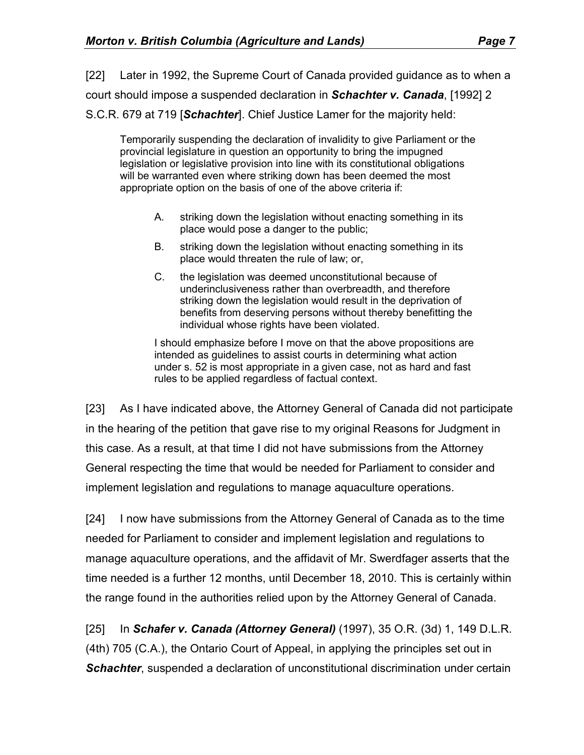[22] Later in 1992, the Supreme Court of Canada provided guidance as to when a court should impose a suspended declaration in *Schachter v. Canada*, [1992] 2 S.C.R. 679 at 719 [*Schachter*]. Chief Justice Lamer for the majority held:

Temporarily suspending the declaration of invalidity to give Parliament or the provincial legislature in question an opportunity to bring the impugned legislation or legislative provision into line with its constitutional obligations will be warranted even where striking down has been deemed the most appropriate option on the basis of one of the above criteria if:

- A. striking down the legislation without enacting something in its place would pose a danger to the public;
- B. striking down the legislation without enacting something in its place would threaten the rule of law; or,
- C. the legislation was deemed unconstitutional because of underinclusiveness rather than overbreadth, and therefore striking down the legislation would result in the deprivation of benefits from deserving persons without thereby benefitting the individual whose rights have been violated.

I should emphasize before I move on that the above propositions are intended as guidelines to assist courts in determining what action under s. 52 is most appropriate in a given case, not as hard and fast rules to be applied regardless of factual context.

[23] As I have indicated above, the Attorney General of Canada did not participate in the hearing of the petition that gave rise to my original Reasons for Judgment in this case. As a result, at that time I did not have submissions from the Attorney General respecting the time that would be needed for Parliament to consider and implement legislation and regulations to manage aquaculture operations.

[24] I now have submissions from the Attorney General of Canada as to the time needed for Parliament to consider and implement legislation and regulations to manage aquaculture operations, and the affidavit of Mr. Swerdfager asserts that the time needed is a further 12 months, until December 18, 2010. This is certainly within the range found in the authorities relied upon by the Attorney General of Canada.

[25] In *Schafer v. Canada (Attorney General)* (1997), 35 O.R. (3d) 1, 149 D.L.R. (4th) 705 (C.A.), the Ontario Court of Appeal, in applying the principles set out in *Schachter*, suspended a declaration of unconstitutional discrimination under certain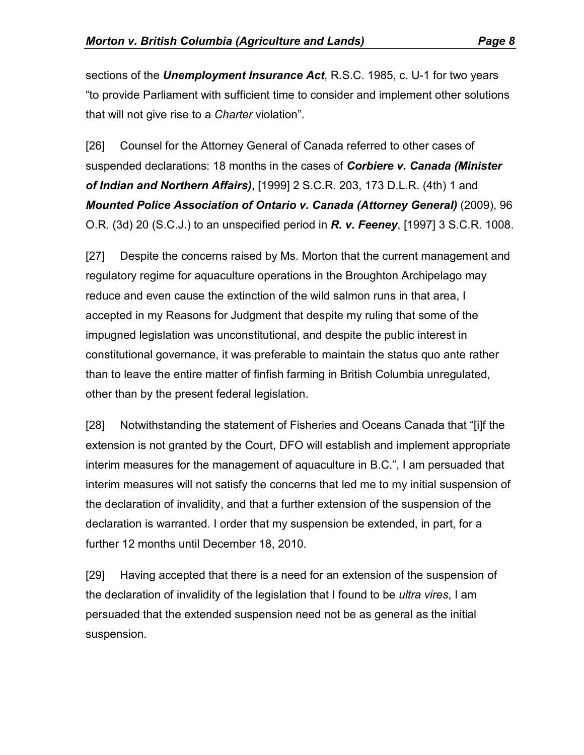sections of the *Unemployment Insurance Act*, R.S.C. 1985, c. U-1 for two years "to provide Parliament with sufficient time to consider and implement other solutions that will not give rise to a *Charter* violation".

[26] Counsel for the Attorney General of Canada referred to other cases of suspended declarations: 18 months in the cases of *Corbiere v. Canada (Minister of Indian and Northern Affairs)*, [1999] 2 S.C.R. 203, 173 D.L.R. (4th) 1 and *Mounted Police Association of Ontario v. Canada (Attorney General)* (2009), 96 O.R. (3d) 20 (S.C.J.) to an unspecified period in *R. v. Feeney*, [1997] 3 S.C.R. 1008.

[27] Despite the concerns raised by Ms. Morton that the current management and regulatory regime for aquaculture operations in the Broughton Archipelago may reduce and even cause the extinction of the wild salmon runs in that area, I accepted in my Reasons for Judgment that despite my ruling that some of the impugned legislation was unconstitutional, and despite the public interest in constitutional governance, it was preferable to maintain the status quo ante rather than to leave the entire matter of finfish farming in British Columbia unregulated, other than by the present federal legislation.

[28] Notwithstanding the statement of Fisheries and Oceans Canada that "[i]f the extension is not granted by the Court, DFO will establish and implement appropriate interim measures for the management of aquaculture in B.C.", I am persuaded that interim measures will not satisfy the concerns that led me to my initial suspension of the declaration of invalidity, and that a further extension of the suspension of the declaration is warranted. I order that my suspension be extended, in part, for a further 12 months until December 18, 2010.

[29] Having accepted that there is a need for an extension of the suspension of the declaration of invalidity of the legislation that I found to be *ultra vires*, I am persuaded that the extended suspension need not be as general as the initial suspension.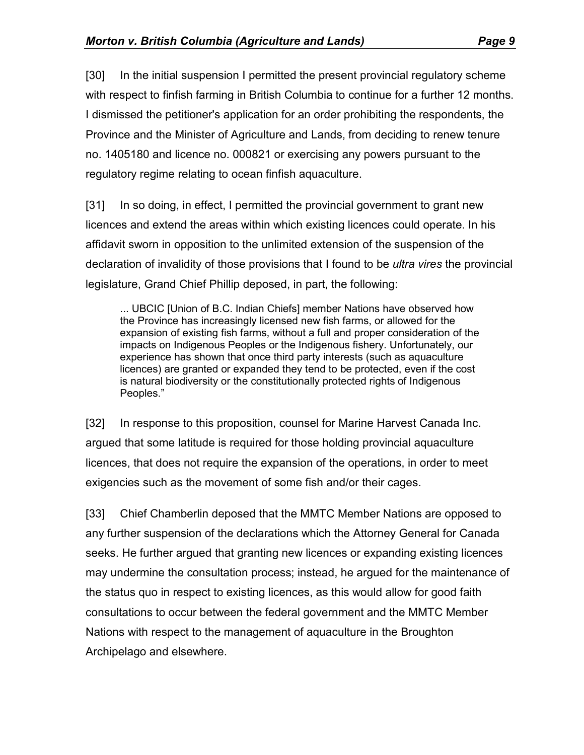[30] In the initial suspension I permitted the present provincial regulatory scheme with respect to finfish farming in British Columbia to continue for a further 12 months. I dismissed the petitioner's application for an order prohibiting the respondents, the Province and the Minister of Agriculture and Lands, from deciding to renew tenure no. 1405180 and licence no. 000821 or exercising any powers pursuant to the regulatory regime relating to ocean finfish aquaculture.

[31] In so doing, in effect, I permitted the provincial government to grant new licences and extend the areas within which existing licences could operate. In his affidavit sworn in opposition to the unlimited extension of the suspension of the declaration of invalidity of those provisions that I found to be *ultra vires* the provincial legislature, Grand Chief Phillip deposed, in part, the following:

... UBCIC [Union of B.C. Indian Chiefs] member Nations have observed how the Province has increasingly licensed new fish farms, or allowed for the expansion of existing fish farms, without a full and proper consideration of the impacts on Indigenous Peoples or the Indigenous fishery. Unfortunately, our experience has shown that once third party interests (such as aquaculture licences) are granted or expanded they tend to be protected, even if the cost is natural biodiversity or the constitutionally protected rights of Indigenous Peoples."

[32] In response to this proposition, counsel for Marine Harvest Canada Inc. argued that some latitude is required for those holding provincial aquaculture licences, that does not require the expansion of the operations, in order to meet exigencies such as the movement of some fish and/or their cages.

[33] Chief Chamberlin deposed that the MMTC Member Nations are opposed to any further suspension of the declarations which the Attorney General for Canada seeks. He further argued that granting new licences or expanding existing licences may undermine the consultation process; instead, he argued for the maintenance of the status quo in respect to existing licences, as this would allow for good faith consultations to occur between the federal government and the MMTC Member Nations with respect to the management of aquaculture in the Broughton Archipelago and elsewhere.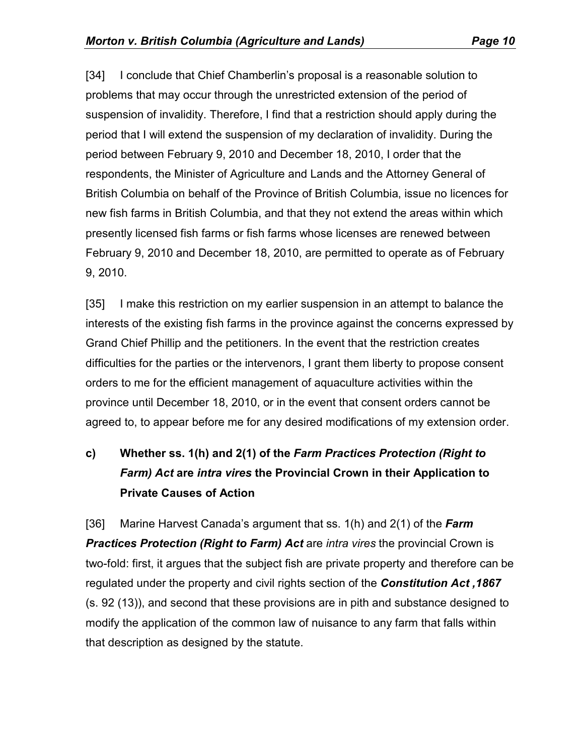[34] I conclude that Chief Chamberlin's proposal is a reasonable solution to problems that may occur through the unrestricted extension of the period of suspension of invalidity. Therefore, I find that a restriction should apply during the period that I will extend the suspension of my declaration of invalidity. During the period between February 9, 2010 and December 18, 2010, I order that the respondents, the Minister of Agriculture and Lands and the Attorney General of British Columbia on behalf of the Province of British Columbia, issue no licences for new fish farms in British Columbia, and that they not extend the areas within which presently licensed fish farms or fish farms whose licenses are renewed between February 9, 2010 and December 18, 2010, are permitted to operate as of February 9, 2010.

[35] I make this restriction on my earlier suspension in an attempt to balance the interests of the existing fish farms in the province against the concerns expressed by Grand Chief Phillip and the petitioners. In the event that the restriction creates difficulties for the parties or the intervenors, I grant them liberty to propose consent orders to me for the efficient management of aquaculture activities within the province until December 18, 2010, or in the event that consent orders cannot be agreed to, to appear before me for any desired modifications of my extension order.

## **c) Whether ss. 1(h) and 2(1) of the** *Farm Practices Protection (Right to Farm) Act* **are** *intra vires* **the Provincial Crown in their Application to Private Causes of Action**

[36] Marine Harvest Canada's argument that ss. 1(h) and 2(1) of the *Farm Practices Protection (Right to Farm) Act* are *intra vires* the provincial Crown is two-fold: first, it argues that the subject fish are private property and therefore can be regulated under the property and civil rights section of the *Constitution Act ,1867* (s. 92 (13)), and second that these provisions are in pith and substance designed to modify the application of the common law of nuisance to any farm that falls within that description as designed by the statute.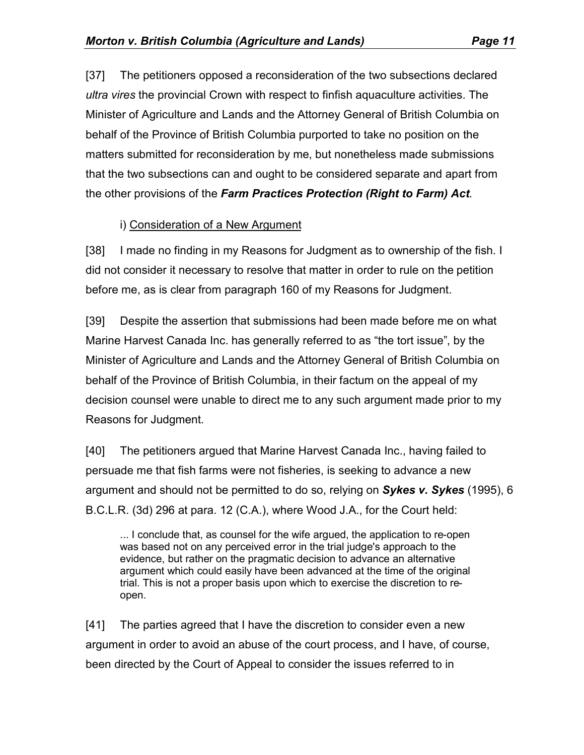[37] The petitioners opposed a reconsideration of the two subsections declared *ultra vires* the provincial Crown with respect to finfish aquaculture activities. The Minister of Agriculture and Lands and the Attorney General of British Columbia on behalf of the Province of British Columbia purported to take no position on the matters submitted for reconsideration by me, but nonetheless made submissions that the two subsections can and ought to be considered separate and apart from the other provisions of the *Farm Practices Protection (Right to Farm) Act*.

### i) Consideration of a New Argument

[38] I made no finding in my Reasons for Judgment as to ownership of the fish. I did not consider it necessary to resolve that matter in order to rule on the petition before me, as is clear from paragraph 160 of my Reasons for Judgment.

[39] Despite the assertion that submissions had been made before me on what Marine Harvest Canada Inc. has generally referred to as "the tort issue", by the Minister of Agriculture and Lands and the Attorney General of British Columbia on behalf of the Province of British Columbia, in their factum on the appeal of my decision counsel were unable to direct me to any such argument made prior to my Reasons for Judgment.

[40] The petitioners argued that Marine Harvest Canada Inc., having failed to persuade me that fish farms were not fisheries, is seeking to advance a new argument and should not be permitted to do so, relying on *Sykes v. Sykes* (1995), 6 B.C.L.R. (3d) 296 at para. 12 (C.A.), where Wood J.A., for the Court held:

... I conclude that, as counsel for the wife argued, the application to re-open was based not on any perceived error in the trial judge's approach to the evidence, but rather on the pragmatic decision to advance an alternative argument which could easily have been advanced at the time of the original trial. This is not a proper basis upon which to exercise the discretion to reopen.

[41] The parties agreed that I have the discretion to consider even a new argument in order to avoid an abuse of the court process, and I have, of course, been directed by the Court of Appeal to consider the issues referred to in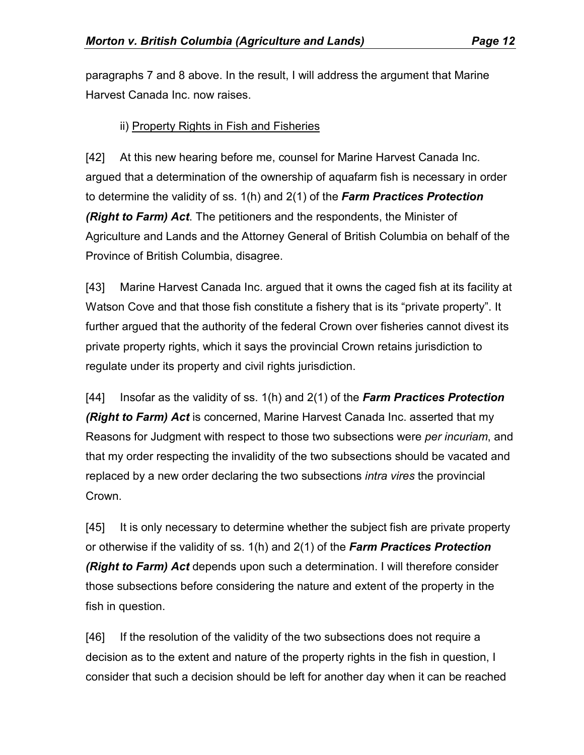paragraphs 7 and 8 above. In the result, I will address the argument that Marine Harvest Canada Inc. now raises.

### ii) Property Rights in Fish and Fisheries

[42] At this new hearing before me, counsel for Marine Harvest Canada Inc. argued that a determination of the ownership of aquafarm fish is necessary in order to determine the validity of ss. 1(h) and 2(1) of the *Farm Practices Protection (Right to Farm) Act*. The petitioners and the respondents, the Minister of Agriculture and Lands and the Attorney General of British Columbia on behalf of the Province of British Columbia, disagree.

[43] Marine Harvest Canada Inc. argued that it owns the caged fish at its facility at Watson Cove and that those fish constitute a fishery that is its "private property". It further argued that the authority of the federal Crown over fisheries cannot divest its private property rights, which it says the provincial Crown retains jurisdiction to regulate under its property and civil rights jurisdiction.

[44] Insofar as the validity of ss. 1(h) and 2(1) of the *Farm Practices Protection (Right to Farm) Act* is concerned, Marine Harvest Canada Inc. asserted that my Reasons for Judgment with respect to those two subsections were *per incuriam*, and that my order respecting the invalidity of the two subsections should be vacated and replaced by a new order declaring the two subsections *intra vires* the provincial Crown.

[45] It is only necessary to determine whether the subject fish are private property or otherwise if the validity of ss. 1(h) and 2(1) of the *Farm Practices Protection (Right to Farm) Act* depends upon such a determination. I will therefore consider those subsections before considering the nature and extent of the property in the fish in question.

[46] If the resolution of the validity of the two subsections does not require a decision as to the extent and nature of the property rights in the fish in question, I consider that such a decision should be left for another day when it can be reached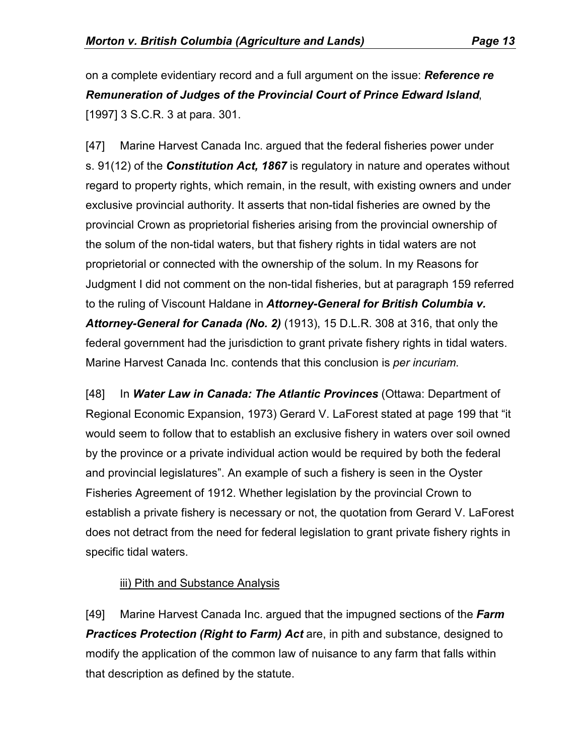on a complete evidentiary record and a full argument on the issue: *Reference re Remuneration of Judges of the Provincial Court of Prince Edward Island*, [1997] 3 S.C.R. 3 at para. 301.

[47] Marine Harvest Canada Inc. argued that the federal fisheries power under s. 91(12) of the *Constitution Act, 1867* is regulatory in nature and operates without regard to property rights, which remain, in the result, with existing owners and under exclusive provincial authority. It asserts that non-tidal fisheries are owned by the provincial Crown as proprietorial fisheries arising from the provincial ownership of the solum of the non-tidal waters, but that fishery rights in tidal waters are not proprietorial or connected with the ownership of the solum. In my Reasons for Judgment I did not comment on the non-tidal fisheries, but at paragraph 159 referred to the ruling of Viscount Haldane in *Attorney-General for British Columbia v. Attorney-General for Canada (No. 2)* (1913), 15 D.L.R. 308 at 316, that only the federal government had the jurisdiction to grant private fishery rights in tidal waters. Marine Harvest Canada Inc. contends that this conclusion is *per incuriam*.

[48] In *Water Law in Canada: The Atlantic Provinces* (Ottawa: Department of Regional Economic Expansion, 1973) Gerard V. LaForest stated at page 199 that "it would seem to follow that to establish an exclusive fishery in waters over soil owned by the province or a private individual action would be required by both the federal and provincial legislatures". An example of such a fishery is seen in the Oyster Fisheries Agreement of 1912. Whether legislation by the provincial Crown to establish a private fishery is necessary or not, the quotation from Gerard V. LaForest does not detract from the need for federal legislation to grant private fishery rights in specific tidal waters.

### iii) Pith and Substance Analysis

[49] Marine Harvest Canada Inc. argued that the impugned sections of the *Farm Practices Protection (Right to Farm) Act* are, in pith and substance, designed to modify the application of the common law of nuisance to any farm that falls within that description as defined by the statute.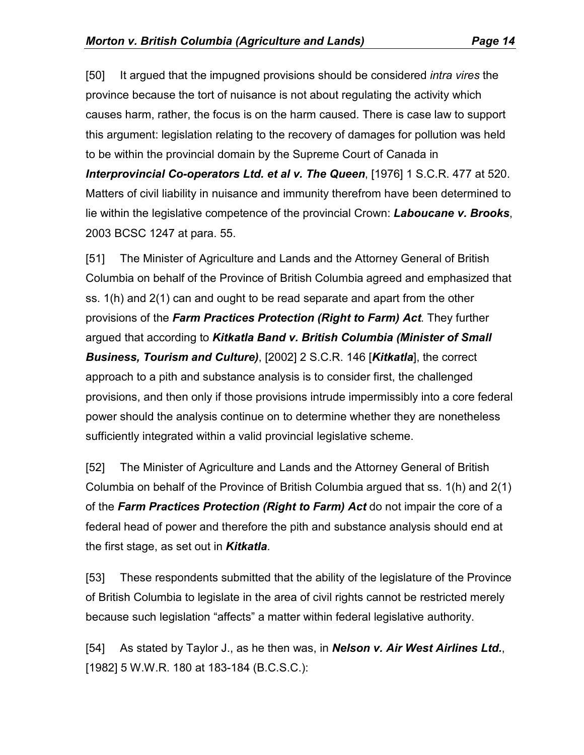[50] It argued that the impugned provisions should be considered *intra vires* the province because the tort of nuisance is not about regulating the activity which causes harm, rather, the focus is on the harm caused. There is case law to support this argument: legislation relating to the recovery of damages for pollution was held to be within the provincial domain by the Supreme Court of Canada in *Interprovincial Co-operators Ltd. et al v. The Queen*, [1976] 1 S.C.R. 477 at 520. Matters of civil liability in nuisance and immunity therefrom have been determined to lie within the legislative competence of the provincial Crown: *Laboucane v. Brooks*, 2003 BCSC 1247 at para. 55.

[51] The Minister of Agriculture and Lands and the Attorney General of British Columbia on behalf of the Province of British Columbia agreed and emphasized that ss. 1(h) and 2(1) can and ought to be read separate and apart from the other provisions of the *Farm Practices Protection (Right to Farm) Act*. They further argued that according to *Kitkatla Band v. British Columbia (Minister of Small Business, Tourism and Culture)*, [2002] 2 S.C.R. 146 [*Kitkatla*], the correct approach to a pith and substance analysis is to consider first, the challenged provisions, and then only if those provisions intrude impermissibly into a core federal power should the analysis continue on to determine whether they are nonetheless sufficiently integrated within a valid provincial legislative scheme.

[52] The Minister of Agriculture and Lands and the Attorney General of British Columbia on behalf of the Province of British Columbia argued that ss. 1(h) and 2(1) of the *Farm Practices Protection (Right to Farm) Act* do not impair the core of a federal head of power and therefore the pith and substance analysis should end at the first stage, as set out in *Kitkatla*.

[53] These respondents submitted that the ability of the legislature of the Province of British Columbia to legislate in the area of civil rights cannot be restricted merely because such legislation "affects" a matter within federal legislative authority.

[54] As stated by Taylor J., as he then was, in *Nelson v. Air West Airlines Ltd.*, [1982] 5 W.W.R. 180 at 183-184 (B.C.S.C.):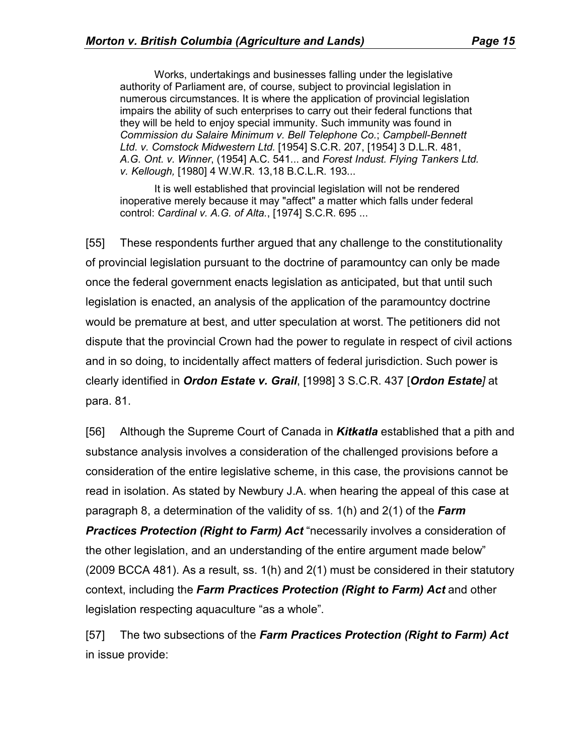Works, undertakings and businesses falling under the legislative authority of Parliament are, of course, subject to provincial legislation in numerous circumstances. It is where the application of provincial legislation impairs the ability of such enterprises to carry out their federal functions that they will be held to enjoy special immunity. Such immunity was found in *Commission du Salaire Minimum v. Bell Telephone Co.*; *Campbell-Bennett Ltd. v. Comstock Midwestern Ltd.* [1954] S.C.R. 207, [1954] 3 D.L.R. 481, *A.G. Ont. v. Winner*, (1954] A.C. 541... and *Forest Indust. Flying Tankers Ltd. v. Kellough,* [1980] 4 W.W.R. 13,18 B.C.L.R. 193...

It is well established that provincial legislation will not be rendered inoperative merely because it may "affect" a matter which falls under federal control: *Cardinal v. A.G. of Alta.*, [1974] S.C.R. 695 ...

[55] These respondents further argued that any challenge to the constitutionality of provincial legislation pursuant to the doctrine of paramountcy can only be made once the federal government enacts legislation as anticipated, but that until such legislation is enacted, an analysis of the application of the paramountcy doctrine would be premature at best, and utter speculation at worst. The petitioners did not dispute that the provincial Crown had the power to regulate in respect of civil actions and in so doing, to incidentally affect matters of federal jurisdiction. Such power is clearly identified in *Ordon Estate v. Grail*, [1998] 3 S.C.R. 437 [*Ordon Estate]* at para. 81.

[56] Although the Supreme Court of Canada in *Kitkatla* established that a pith and substance analysis involves a consideration of the challenged provisions before a consideration of the entire legislative scheme, in this case, the provisions cannot be read in isolation. As stated by Newbury J.A. when hearing the appeal of this case at paragraph 8, a determination of the validity of ss. 1(h) and 2(1) of the *Farm Practices Protection (Right to Farm) Act* "necessarily involves a consideration of the other legislation, and an understanding of the entire argument made below" (2009 BCCA 481). As a result, ss. 1(h) and 2(1) must be considered in their statutory context, including the *Farm Practices Protection (Right to Farm) Act* and other legislation respecting aquaculture "as a whole".

[57] The two subsections of the *Farm Practices Protection (Right to Farm) Act* in issue provide: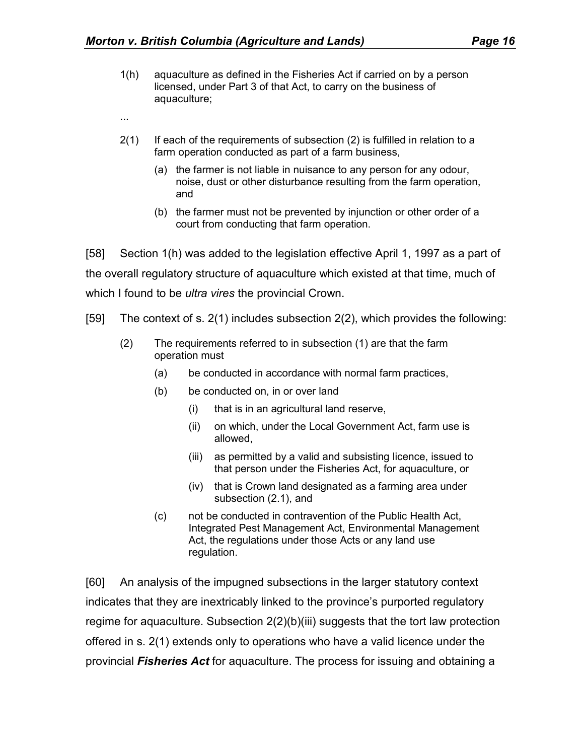- 1(h) aquaculture as defined in the Fisheries Act if carried on by a person licensed, under Part 3 of that Act, to carry on the business of aquaculture;
- ...
- 2(1) If each of the requirements of subsection (2) is fulfilled in relation to a farm operation conducted as part of a farm business,
	- (a) the farmer is not liable in nuisance to any person for any odour, noise, dust or other disturbance resulting from the farm operation, and
	- (b) the farmer must not be prevented by injunction or other order of a court from conducting that farm operation.

[58] Section 1(h) was added to the legislation effective April 1, 1997 as a part of the overall regulatory structure of aquaculture which existed at that time, much of which I found to be *ultra vires* the provincial Crown.

- [59] The context of s. 2(1) includes subsection 2(2), which provides the following:
	- (2) The requirements referred to in subsection (1) are that the farm operation must
		- (a) be conducted in accordance with normal farm practices,
		- (b) be conducted on, in or over land
			- (i) that is in an agricultural land reserve,
			- (ii) on which, under the Local Government Act, farm use is allowed,
			- (iii) as permitted by a valid and subsisting licence, issued to that person under the Fisheries Act, for aquaculture, or
			- (iv) that is Crown land designated as a farming area under subsection (2.1), and
		- (c) not be conducted in contravention of the Public Health Act, Integrated Pest Management Act, Environmental Management Act, the regulations under those Acts or any land use regulation.

[60] An analysis of the impugned subsections in the larger statutory context indicates that they are inextricably linked to the province's purported regulatory regime for aquaculture. Subsection 2(2)(b)(iii) suggests that the tort law protection offered in s. 2(1) extends only to operations who have a valid licence under the provincial *Fisheries Act* for aquaculture. The process for issuing and obtaining a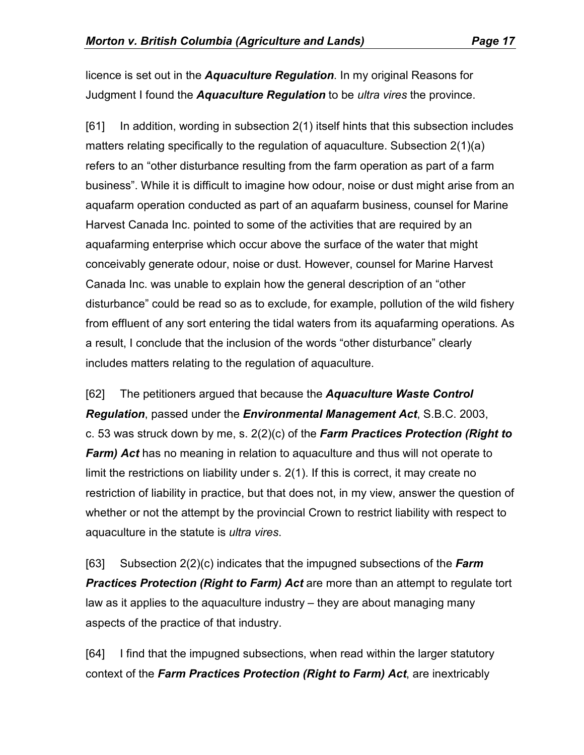licence is set out in the *Aquaculture Regulation*. In my original Reasons for Judgment I found the *Aquaculture Regulation* to be *ultra vires* the province.

[61] In addition, wording in subsection 2(1) itself hints that this subsection includes matters relating specifically to the regulation of aquaculture. Subsection 2(1)(a) refers to an "other disturbance resulting from the farm operation as part of a farm business". While it is difficult to imagine how odour, noise or dust might arise from an aquafarm operation conducted as part of an aquafarm business, counsel for Marine Harvest Canada Inc. pointed to some of the activities that are required by an aquafarming enterprise which occur above the surface of the water that might conceivably generate odour, noise or dust. However, counsel for Marine Harvest Canada Inc. was unable to explain how the general description of an "other disturbance" could be read so as to exclude, for example, pollution of the wild fishery from effluent of any sort entering the tidal waters from its aquafarming operations. As a result, I conclude that the inclusion of the words "other disturbance" clearly includes matters relating to the regulation of aquaculture.

[62] The petitioners argued that because the *Aquaculture Waste Control Regulation*, passed under the *Environmental Management Act*, S.B.C. 2003, c. 53 was struck down by me, s. 2(2)(c) of the *Farm Practices Protection (Right to Farm) Act* has no meaning in relation to aquaculture and thus will not operate to limit the restrictions on liability under s. 2(1). If this is correct, it may create no restriction of liability in practice, but that does not, in my view, answer the question of whether or not the attempt by the provincial Crown to restrict liability with respect to aquaculture in the statute is *ultra vires*.

[63] Subsection 2(2)(c) indicates that the impugned subsections of the *Farm Practices Protection (Right to Farm) Act* are more than an attempt to regulate tort law as it applies to the aquaculture industry – they are about managing many aspects of the practice of that industry.

[64] I find that the impugned subsections, when read within the larger statutory context of the *Farm Practices Protection (Right to Farm) Act*, are inextricably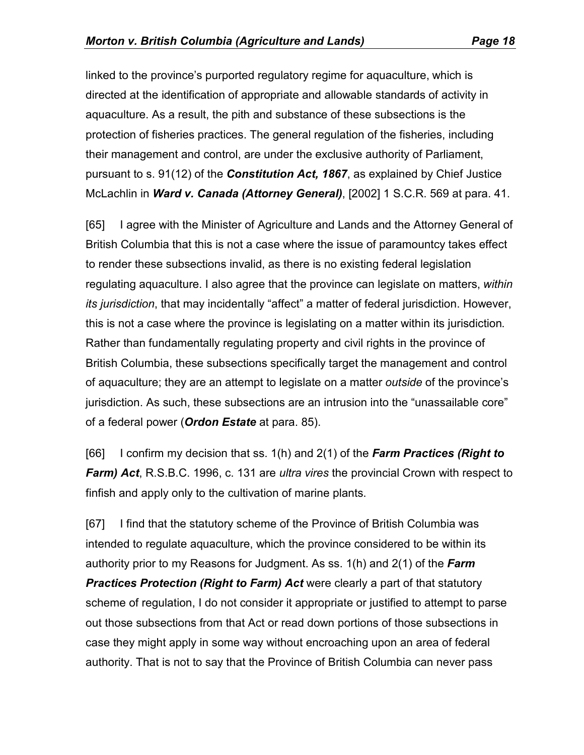linked to the province's purported regulatory regime for aquaculture, which is directed at the identification of appropriate and allowable standards of activity in aquaculture. As a result, the pith and substance of these subsections is the protection of fisheries practices. The general regulation of the fisheries, including their management and control, are under the exclusive authority of Parliament, pursuant to s. 91(12) of the *Constitution Act, 1867*, as explained by Chief Justice McLachlin in *Ward v. Canada (Attorney General)*, [2002] 1 S.C.R. 569 at para. 41.

[65] I agree with the Minister of Agriculture and Lands and the Attorney General of British Columbia that this is not a case where the issue of paramountcy takes effect to render these subsections invalid, as there is no existing federal legislation regulating aquaculture. I also agree that the province can legislate on matters, *within its jurisdiction*, that may incidentally "affect" a matter of federal jurisdiction. However, this is not a case where the province is legislating on a matter within its jurisdiction. Rather than fundamentally regulating property and civil rights in the province of British Columbia, these subsections specifically target the management and control of aquaculture; they are an attempt to legislate on a matter *outside* of the province's jurisdiction. As such, these subsections are an intrusion into the "unassailable core" of a federal power (*Ordon Estate* at para. 85).

[66] I confirm my decision that ss. 1(h) and 2(1) of the *Farm Practices (Right to Farm) Act*, R.S.B.C. 1996, c. 131 are *ultra vires* the provincial Crown with respect to finfish and apply only to the cultivation of marine plants.

[67] I find that the statutory scheme of the Province of British Columbia was intended to regulate aquaculture, which the province considered to be within its authority prior to my Reasons for Judgment. As ss. 1(h) and 2(1) of the *Farm*  **Practices Protection (Right to Farm) Act** were clearly a part of that statutory scheme of regulation, I do not consider it appropriate or justified to attempt to parse out those subsections from that Act or read down portions of those subsections in case they might apply in some way without encroaching upon an area of federal authority. That is not to say that the Province of British Columbia can never pass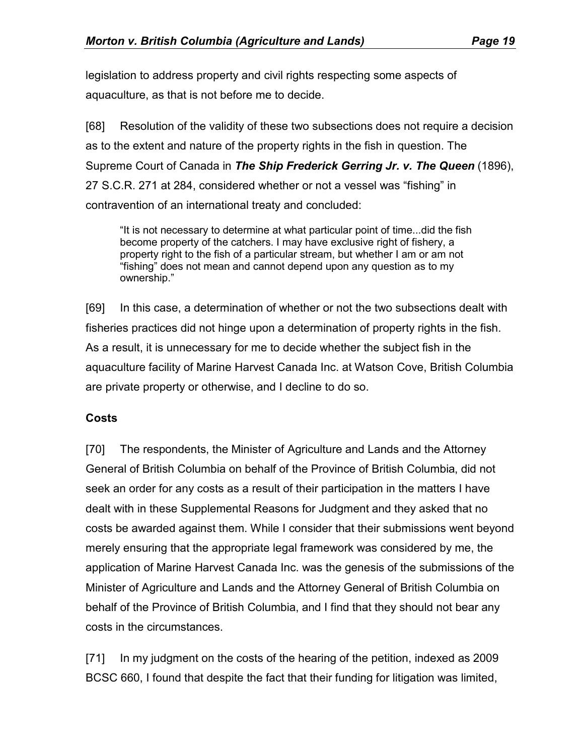legislation to address property and civil rights respecting some aspects of aquaculture, as that is not before me to decide.

[68] Resolution of the validity of these two subsections does not require a decision as to the extent and nature of the property rights in the fish in question. The Supreme Court of Canada in *The Ship Frederick Gerring Jr. v. The Queen* (1896), 27 S.C.R. 271 at 284, considered whether or not a vessel was "fishing" in contravention of an international treaty and concluded:

"It is not necessary to determine at what particular point of time...did the fish become property of the catchers. I may have exclusive right of fishery, a property right to the fish of a particular stream, but whether I am or am not "fishing" does not mean and cannot depend upon any question as to my ownership."

[69] In this case, a determination of whether or not the two subsections dealt with fisheries practices did not hinge upon a determination of property rights in the fish. As a result, it is unnecessary for me to decide whether the subject fish in the aquaculture facility of Marine Harvest Canada Inc. at Watson Cove, British Columbia are private property or otherwise, and I decline to do so.

### **Costs**

[70] The respondents, the Minister of Agriculture and Lands and the Attorney General of British Columbia on behalf of the Province of British Columbia, did not seek an order for any costs as a result of their participation in the matters I have dealt with in these Supplemental Reasons for Judgment and they asked that no costs be awarded against them. While I consider that their submissions went beyond merely ensuring that the appropriate legal framework was considered by me, the application of Marine Harvest Canada Inc. was the genesis of the submissions of the Minister of Agriculture and Lands and the Attorney General of British Columbia on behalf of the Province of British Columbia, and I find that they should not bear any costs in the circumstances.

[71] In my judgment on the costs of the hearing of the petition, indexed as 2009 BCSC 660, I found that despite the fact that their funding for litigation was limited,